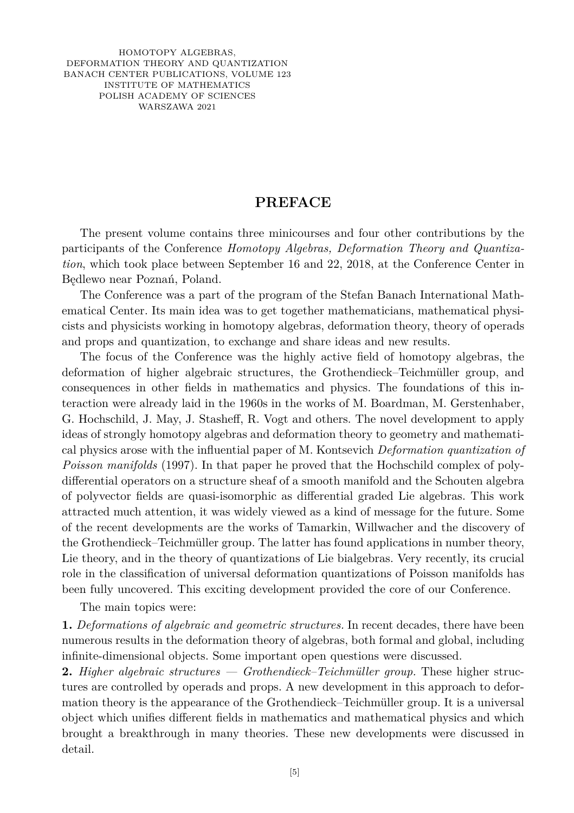HOMOTOPY ALGEBRAS, DEFORMATION THEORY AND QUANTIZATION BANACH CENTER PUBLICATIONS, VOLUME 123 INSTITUTE OF MATHEMATICS POLISH ACADEMY OF SCIENCES WARSZAWA 2021

## **PREFACE**

The present volume contains three minicourses and four other contributions by the participants of the Conference *Homotopy Algebras, Deformation Theory and Quantization*, which took place between September 16 and 22, 2018, at the Conference Center in Będlewo near Poznań, Poland.

The Conference was a part of the program of the Stefan Banach International Mathematical Center. Its main idea was to get together mathematicians, mathematical physicists and physicists working in homotopy algebras, deformation theory, theory of operads and props and quantization, to exchange and share ideas and new results.

The focus of the Conference was the highly active field of homotopy algebras, the deformation of higher algebraic structures, the Grothendieck–Teichmüller group, and consequences in other fields in mathematics and physics. The foundations of this interaction were already laid in the 1960s in the works of M. Boardman, M. Gerstenhaber, G. Hochschild, J. May, J. Stasheff, R. Vogt and others. The novel development to apply ideas of strongly homotopy algebras and deformation theory to geometry and mathematical physics arose with the influential paper of M. Kontsevich *Deformation quantization of Poisson manifolds* (1997). In that paper he proved that the Hochschild complex of polydifferential operators on a structure sheaf of a smooth manifold and the Schouten algebra of polyvector fields are quasi-isomorphic as differential graded Lie algebras. This work attracted much attention, it was widely viewed as a kind of message for the future. Some of the recent developments are the works of Tamarkin, Willwacher and the discovery of the Grothendieck–Teichmüller group. The latter has found applications in number theory, Lie theory, and in the theory of quantizations of Lie bialgebras. Very recently, its crucial role in the classification of universal deformation quantizations of Poisson manifolds has been fully uncovered. This exciting development provided the core of our Conference.

The main topics were:

**1.** *Deformations of algebraic and geometric structures.* In recent decades, there have been numerous results in the deformation theory of algebras, both formal and global, including infinite-dimensional objects. Some important open questions were discussed.

**2.** *Higher algebraic structures — Grothendieck–Teichmüller group.* These higher structures are controlled by operads and props. A new development in this approach to deformation theory is the appearance of the Grothendieck–Teichmüller group. It is a universal object which unifies different fields in mathematics and mathematical physics and which brought a breakthrough in many theories. These new developments were discussed in detail.